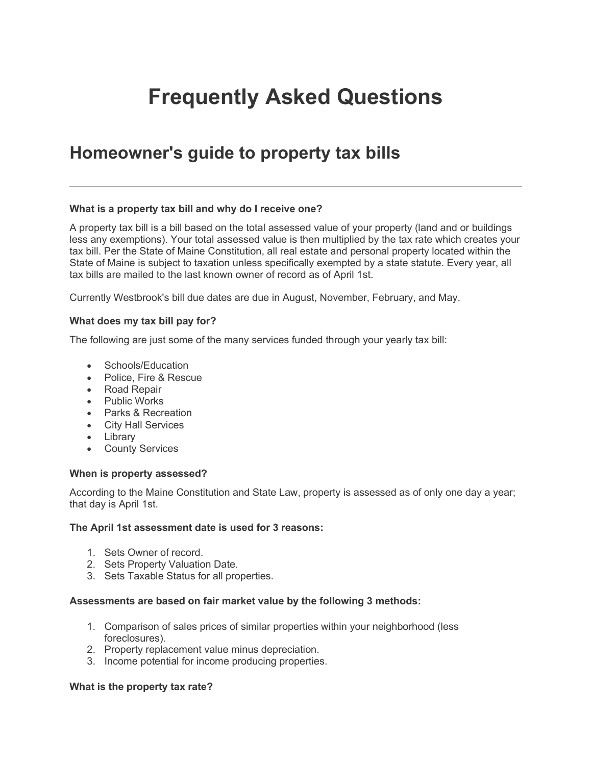# **Frequently Asked Questions**

# **Homeowner's guide to property tax bills**

#### **What is a property tax bill and why do I receive one?**

A property tax bill is a bill based on the total assessed value of your property (land and or buildings less any exemptions). Your total assessed value is then multiplied by the tax rate which creates your tax bill. Per the State of Maine Constitution, all real estate and personal property located within the State of Maine is subject to taxation unless specifically exempted by a state statute. Every year, all tax bills are mailed to the last known owner of record as of April 1st.

Currently Westbrook's bill due dates are due in August, November, February, and May.

# **What does my tax bill pay for?**

The following are just some of the many services funded through your yearly tax bill:

- Schools/Education
- Police, Fire & Rescue
- Road Repair
- Public Works
- Parks & Recreation
- City Hall Services
- Library
- County Services

#### **When is property assessed?**

According to the Maine Constitution and State Law, property is assessed as of only one day a year; that day is April 1st.

#### **The April 1st assessment date is used for 3 reasons:**

- 1. Sets Owner of record.
- 2. Sets Property Valuation Date.
- 3. Sets Taxable Status for all properties.

#### **Assessments are based on fair market value by the following 3 methods:**

- 1. Comparison of sales prices of similar properties within your neighborhood (less foreclosures).
- 2. Property replacement value minus depreciation.
- 3. Income potential for income producing properties.

#### **What is the property tax rate?**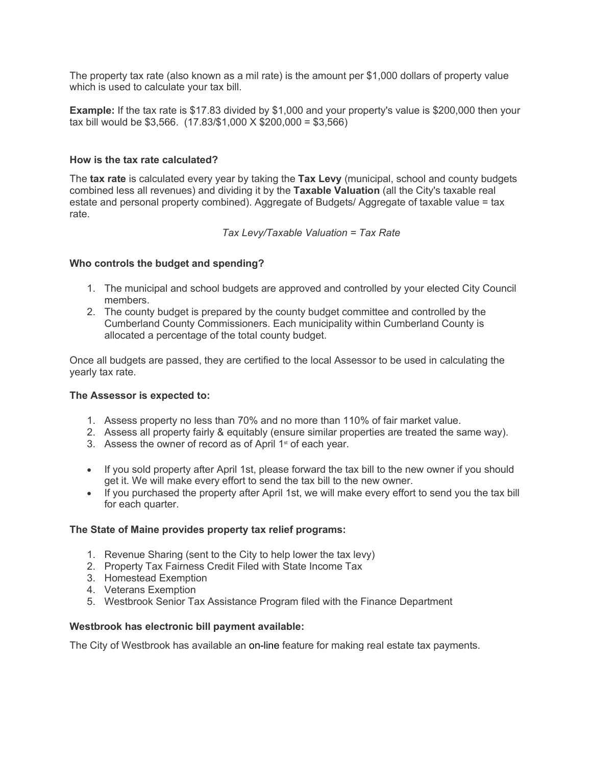The property tax rate (also known as a mil rate) is the amount per \$1,000 dollars of property value which is used to calculate your tax bill.

**Example:** If the tax rate is \$17.83 divided by \$1,000 and your property's value is \$200,000 then your tax bill would be \$3,566. (17.83/\$1,000 X \$200,000 = \$3,566)

# **How is the tax rate calculated?**

The **tax rate** is calculated every year by taking the **Tax Levy** (municipal, school and county budgets combined less all revenues) and dividing it by the **Taxable Valuation** (all the City's taxable real estate and personal property combined). Aggregate of Budgets/ Aggregate of taxable value = tax rate.

*Tax Levy/Taxable Valuation = Tax Rate*

# **Who controls the budget and spending?**

- 1. The municipal and school budgets are approved and controlled by your elected City Council members.
- 2. The county budget is prepared by the county budget committee and controlled by the Cumberland County Commissioners. Each municipality within Cumberland County is allocated a percentage of the total county budget.

Once all budgets are passed, they are certified to the local Assessor to be used in calculating the yearly tax rate.

#### **The Assessor is expected to:**

- 1. Assess property no less than 70% and no more than 110% of fair market value.
- 2. Assess all property fairly & equitably (ensure similar properties are treated the same way).
- 3. Assess the owner of record as of April  $1<sup>st</sup>$  of each year.
- If you sold property after April 1st, please forward the tax bill to the new owner if you should get it. We will make every effort to send the tax bill to the new owner.
- If you purchased the property after April 1st, we will make every effort to send you the tax bill for each quarter.

#### **The State of Maine provides property tax relief programs:**

- 1. Revenue Sharing (sent to the City to help lower the tax levy)
- 2. Property Tax Fairness Credit Filed with State Income Tax
- 3. Homestead Exemption
- 4. Veterans Exemption
- 5. Westbrook Senior Tax Assistance Program filed with the Finance Department

#### **Westbrook has electronic bill payment available:**

The City of Westbrook has available an on-line feature for making real estate tax payments.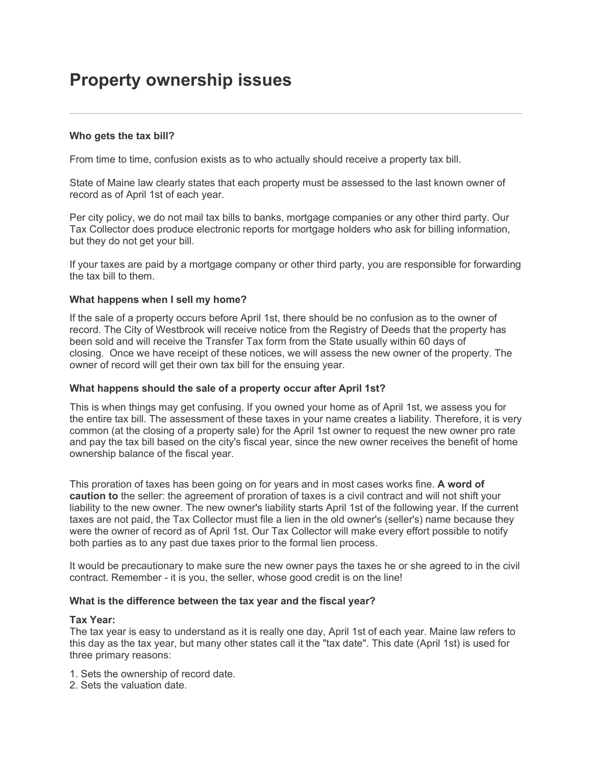# **Property ownership issues**

# **Who gets the tax bill?**

From time to time, confusion exists as to who actually should receive a property tax bill.

State of Maine law clearly states that each property must be assessed to the last known owner of record as of April 1st of each year.

Per city policy, we do not mail tax bills to banks, mortgage companies or any other third party. Our Tax Collector does produce electronic reports for mortgage holders who ask for billing information, but they do not get your bill.

If your taxes are paid by a mortgage company or other third party, you are responsible for forwarding the tax bill to them.

#### **What happens when I sell my home?**

If the sale of a property occurs before April 1st, there should be no confusion as to the owner of record. The City of Westbrook will receive notice from the Registry of Deeds that the property has been sold and will receive the Transfer Tax form from the State usually within 60 days of closing. Once we have receipt of these notices, we will assess the new owner of the property. The owner of record will get their own tax bill for the ensuing year.

#### **What happens should the sale of a property occur after April 1st?**

This is when things may get confusing. If you owned your home as of April 1st, we assess you for the entire tax bill. The assessment of these taxes in your name creates a liability. Therefore, it is very common (at the closing of a property sale) for the April 1st owner to request the new owner pro rate and pay the tax bill based on the city's fiscal year, since the new owner receives the benefit of home ownership balance of the fiscal year.

This proration of taxes has been going on for years and in most cases works fine. **A word of caution to** the seller: the agreement of proration of taxes is a civil contract and will not shift your liability to the new owner. The new owner's liability starts April 1st of the following year. If the current taxes are not paid, the Tax Collector must file a lien in the old owner's (seller's) name because they were the owner of record as of April 1st. Our Tax Collector will make every effort possible to notify both parties as to any past due taxes prior to the formal lien process.

It would be precautionary to make sure the new owner pays the taxes he or she agreed to in the civil contract. Remember - it is you, the seller, whose good credit is on the line!

#### **What is the difference between the tax year and the fiscal year?**

#### **Tax Year:**

The tax year is easy to understand as it is really one day, April 1st of each year. Maine law refers to this day as the tax year, but many other states call it the "tax date". This date (April 1st) is used for three primary reasons:

- 1. Sets the ownership of record date.
- 2. Sets the valuation date.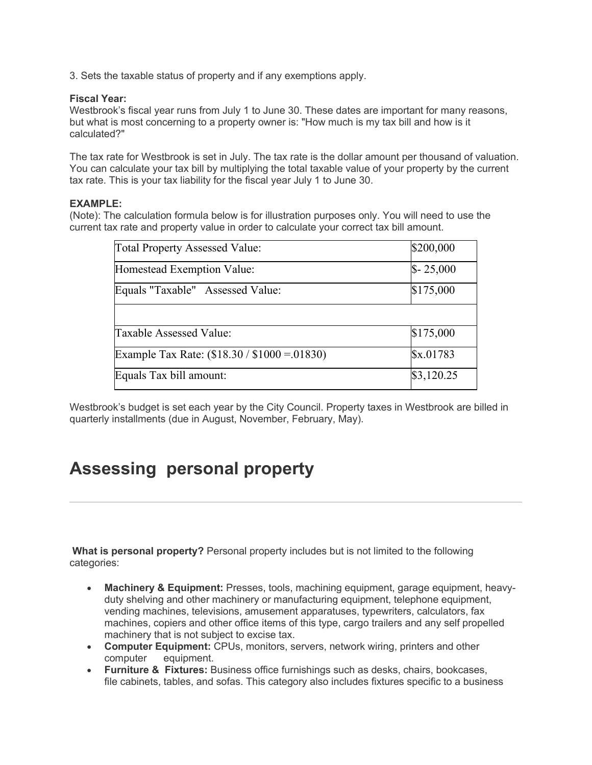3. Sets the taxable status of property and if any exemptions apply.

# **Fiscal Year:**

Westbrook's fiscal year runs from July 1 to June 30. These dates are important for many reasons, but what is most concerning to a property owner is: "How much is my tax bill and how is it calculated?"

The tax rate for Westbrook is set in July. The tax rate is the dollar amount per thousand of valuation. You can calculate your tax bill by multiplying the total taxable value of your property by the current tax rate. This is your tax liability for the fiscal year July 1 to June 30.

# **EXAMPLE:**

(Note): The calculation formula below is for illustration purposes only. You will need to use the current tax rate and property value in order to calculate your correct tax bill amount.

| Total Property Assessed Value:                  | \$200,000  |
|-------------------------------------------------|------------|
| Homestead Exemption Value:                      | $$-25,000$ |
| Equals "Taxable" Assessed Value:                | \$175,000  |
|                                                 |            |
| Taxable Assessed Value:                         | \$175,000  |
| Example Tax Rate: $(\$18.30 / \$1000 = .01830)$ | \$x.01783  |
| Equals Tax bill amount:                         | \$3,120.25 |

Westbrook's budget is set each year by the City Council. Property taxes in Westbrook are billed in quarterly installments (due in August, November, February, May).

# **Assessing personal property**

**What is personal property?** Personal property includes but is not limited to the following categories:

- **Machinery & Equipment:** Presses, tools, machining equipment, garage equipment, heavyduty shelving and other machinery or manufacturing equipment, telephone equipment, vending machines, televisions, amusement apparatuses, typewriters, calculators, fax machines, copiers and other office items of this type, cargo trailers and any self propelled machinery that is not subject to excise tax.
- **Computer Equipment:** CPUs, monitors, servers, network wiring, printers and other equipment.
- **Furniture & Fixtures:** Business office furnishings such as desks, chairs, bookcases, file cabinets, tables, and sofas. This category also includes fixtures specific to a business